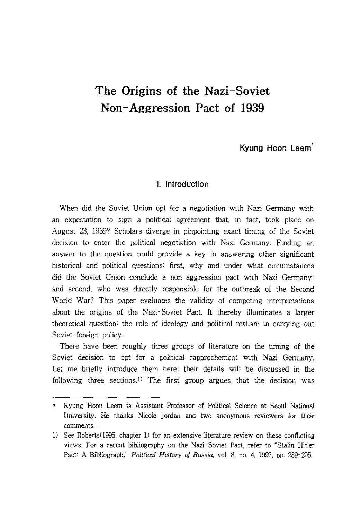# **The Origins of the Nazi-Soviet Non-Aggression Pact of 1939**

**Kyung Hoon Leem'** 

# **I. Introduction**

When did the Soviet Union opt for a negotiation with Nazi Germany with an expectation to sign a political agreement that, in fact, took place on August 23, 1939? Scholars diverge in pinpointing exact timing of the Soviet decision to enter the political negotiation with Nazi Germany. Finding an answer to the question could provide a key in answering other significant historical and political questions: first, why and under what circumstances did the Soviet Union conclude a non-aggression pact with Nazi Germany; and second, who was directly responsible for the outbreak of the Second World War? This paper evaluates the validity of competing interpretations about the origins of the Nazi-Soviet Pact. It thereby illuminates a larger theoretical question: the role of ideology and political realism in carrying out Soviet foreign policy.

There have been roughly three groups of literature on the timing of the Soviet decision to opt for a political rapprochement with Nazi Germany. Let me briefly introduce them here; their details will be discussed in the following three sections.<sup>1)</sup> The first group argues that the decision was

<sup>\*</sup> Kyung Hoon Leem is Assistant Professor of Political Science at Seoul National University. He thanks Nicole Jordan and two anonymous reviewers for their comments.

<sup>1)</sup> See Roberts (1995, chapter 1) for an extensive literature review on these conflicting views. For a recent bibliography on the Nazi-Soviet Pact, refer to "Stalin-Hitler Pact: A Bibliograph," *Political History of Russia,* vol. 8, no. 4, 1997, pp. 289-295.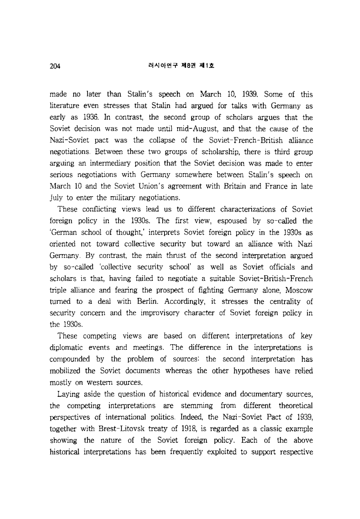#### 러시아연구 제8권 제1히

made no later than Stalin's speech on March 10, 1939. Some of this literature even stresses that Stalin had argued for talks with Germany as early as 1936. **In** contrast, the second group of scholars argues that the Soviet decision was not made until mid-August, and that the cause of the Nazi-Soviet pact was the collapse of the Soviet-French-British alliance negotiations. Between these two groups of scholarship, there is third group arguing an intermediary position that the Soviet decision was made to enter serious negotiations with Germany somewhere between Stalin's speech on March 10 and the Soviet Union's agreement with Britain and France in late July to enter the military negotiations.

These conflicting views lead us to different characterizations of Soviet foreign policy in the 1930s. The first view, espoused by so-called the 'German school of thought,' interprets Soviet foreign policy in the 1930s as oriented not toward collective security but toward an alliance with Nazi Germany. By contrast, the main thrust of the second interpretation argued by so-called 'collective security school' as well as Soviet officials and scholars is that, having failed to negotiate a suitable Soviet-British-French triple alliance and fearing the prospect of fighting Germany alone, Moscow turned to a deal with Berlin. Accordingly, it stresses the centrality of security concern and the improvisory character of Soviet foreign policy in the 1930s.

These competing views are based on different interpretations of key diplomatic events and meetings. The difference in the interpretations is compounded by the problem of sources: the second interpretation has mobilized the Soviet documents whereas the other hypotheses have relied mostly on western sources.

Laying aside the question of historical evidence and documentary sources, the competing interpretations are stemming from different theoretical perspectives of international politics. Indeed, the Nazi-Soviet Pact of 1939, together with Brest-Litovsk treaty of 1918, is regarded as a classic example showing the nature of the Soviet foreign policy. Each of the above historical interpretations has been frequently exploited to support respective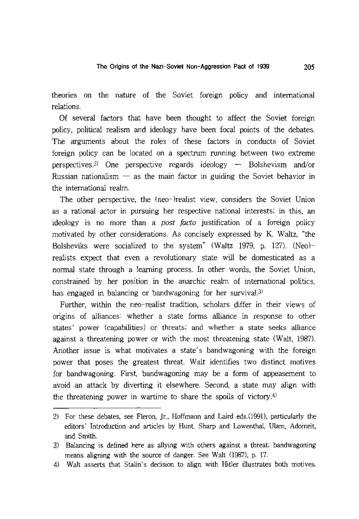theories on the nature of the Soviet foreign policy and international relations.

Of several factors that have been thought to affect the Soviet foreign policy, political realism and ideology have been focal points of the debates. The arguments about the roles of these factors in conducts of Soviet foreign policy can be located on a spectrum running between two extreme perspectives.<sup>2)</sup> One perspective regards ideology  $-$  Bolshevism and/or Russian nationalism  $-$  as the main factor in guiding the Soviet behavior in the international realm.

The other perspective, the (neo-)realist view, considers the Soviet Union as a rational actor in pursuing her respective national interests; in this, an ideology is no more than a *post facto* justification of a foreign policy motivated by other considerations. As concisely expressed by K. Waltz, "the Bolsheviks were socialized to the system" (Waltz 1979, p. 127). (Neo) realists expect that even a revolutionary state will be domesticated as a normal state through a learning process. In other words, the Soviet Union, constrained by her position in the anarchic realm of international politics, has engaged in balancing or bandwagoning for her survival.<sup>3)</sup>

Further, within the neo-realist tradition, scholars differ in their views of origins of alliances: whether a state forms alliance in response to other states/ power (capabilities) or threats; and whether a state seeks alliance against a threatening power or with the most threatening state (Walt, 1987). Another issue is what motivates a state's bandwagoning with the foreign power that poses the greatest threat. Walt identifies two distinct motives for bandwagoning. First, bandwagoning may be a form of appeasement to avoid an attack by diverting it elsewhere. Second, a state may align with the threatening power in wartime to share the spoils of victory.<sup>4)</sup>

<sup>2)</sup> For these debates, see Fleron, Jr., Hoffmann and Laird eds.(1991), particularly the editors' Introduction and articles by Hunt, Sharp and Lowenthal, Ulam, Adomeit, and Smith.

<sup>3)</sup> Balancing is defined here as allying with others against a threat; bandwagoning means aligning with the source of danger. See Walt (1987), p. 17.

<sup>4)</sup> Walt asserts that Stalin's decision to align with Hitler illustrates both motives.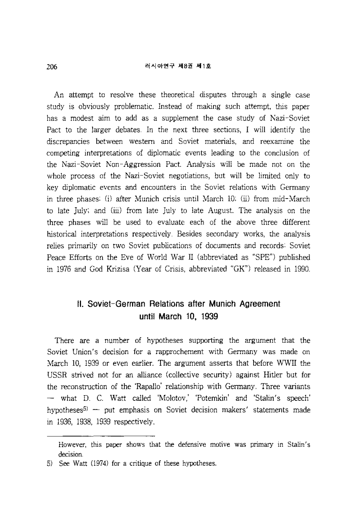#### 러시아연구 제8권 제1호

An attempt to resolve these theoretical disputes through a single case study is obviously problematic. Instead of making such attempt, this paper has a modest aim to add as a supplement the case study of Nazi-Soviet Pact to the larger debates. In the next three sections, I will identify the discrepancies between western and Soviet materials, and reexamine the competing interpretations of diplomatic events leading to the conclusion of the Nazi-Soviet Non-Aggression Pact. Analysis will be made not on the whole process of the Nazi-Soviet negotiations, but will be limited only to key diplomatic events and encounters in the Soviet relations with Germany in three phases: (j) after Munich crisis until March 10; (ii) from mid-March to late July; and (iii) from late July to late August. The analysis on the three phases will be used to evaluate each of the above three different historical interpretations respectively. Besides secondary works, the analysis relies primarily on two Soviet publications of documents and records: Soviet Peace Efforts on the Eve of World War II (abbreviated as "SPE") published in 1976 and God Krizisa (Year of Crisis, abbreviated "GK") released in 1990.

# **II. Soviet-German Relations after Munich Agreement until March 10, 1939**

There are a number of hypotheses supporting the argument that the Soviet Union's decision for a rapprochement with Germany was made on March 10, 1939 or even earlier. The argument asserts that before WWII the USSR strived not for an alliance (collective security) against Hitler but for the reconstruction of the 'Rapallo' relationship with Germany. Three variants - what D. C. Watt called 'Molotov,' 'Potemkin' and 'Stalin's speech' hypotheses $5$  - put emphasis on Soviet decision makers' statements made in 1936, 1938, 1939 respectively.

However, this paper shows that the defensive motive was primary in Stalin's decision.

S) See Watt (1974) for a critique of these hypotheses.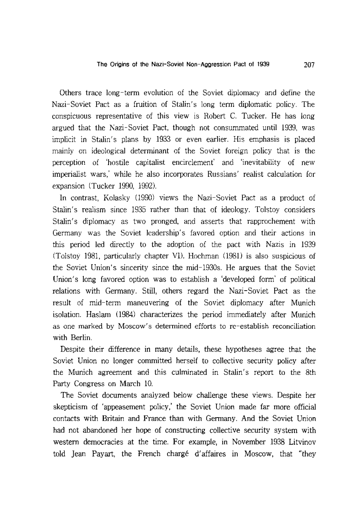The Origins of the Nazi-Soviet Non-Aggression Pact of 1939 207

Others trace long-term evolution of the Soviet diplomacy and define the Nazi-Soviet Pact as a fruition of Stalin's long term diplomatic policy. The conspicuous representative of this view is Robert C. Tucker. He has long argued that the Nazi-Soviet Pact, though not consummated until 1939, was implicit in Stalin's plans by 1933 or even earlier. His emphasis is placed mainly on ideological determinant of the Soviet foreign policy that is the perception of 'hostile capitalist encirclement' and 'inevitability of new imperialist wars,' while he also incorporates Russians' realist calculation for expansion (Tucker 1990, 1992).

In contrast, Kolasky (990) views the Nazi-Soviet Pact as a product of Stalin's realism since 1935 rather than that of ideology. Tolstoy considers Stalin's diplomacy as two pronged, and asserts that rapprochement with Germany was the Soviet leadership's favored· option and their actions in this period led directly to the adoption of the pact with Nazis in 1939 (Tolstoy 1981, particularly chapter VI). Hochman (981) is also suspicious of the Soviet Union's sincerity since the mid-1930s. He argues that the Soviet Union's long favored option was to establish a 'developed form' of political relations with Germany. Still, others regard the Nazi-Soviet Pact as the result of mid-term maneuvering of the Soviet diplomacy after Munich isolation. Haslam (984) characterizes the period immediately after Munich as one marked by Moscow's determined efforts to re-establish reconciliation with Berlin.

Despite their difference in many details, these hypotheses agree that the Soviet Union no longer committed herself to collective security policy after the Munich agreement and this culminated in Stalin's report to the 8th Party Congress on March 10.

The Soviet documents analyzed below challenge these views. Despite her skepticism of 'appeasement policy,' the Soviet Union made far more official contacts with Britain and France than with Germany. And the Soviet Union had not abandoned her hope of constructing collective security system with western democracies at the time. For example, in November 1938 Litvinov told Jean Payart, the French charge d'affaires in Moscow, that "they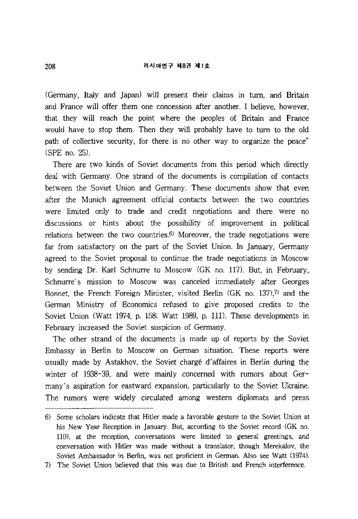(Germany, Italy and Japan) will present their claims in tum, and Britain and France will offer them one concession after another. I believe, however, that they will reach the point where the peoples of Britain and France would have to stop them. Then they will probably have to tum to the old path of collective security, for there is no other way to organize the peace" (SPE no. 25).

There are two kinds of Soviet documents from this period which directly deal with Germany. One strand of the documents is compilation of contacts between the Soviet Union and Germany. These documents show that even after the Munich agreement official contacts between the two countries were limited only to trade and credit negotiations and there were no discussions or hints about the possibility of improvement in political relations between the two countries.<sup>6)</sup> Moreover, the trade negotiations were far from satisfactory on the part of the Soviet Union. In January, Germany agreed to the Soviet proposal to continue the trade negotiations in Moscow by sending Dr. Karl Schnurre to Moscow (GK no. 117). But, in February, Schnurre's mission to Moscow was canceled immediately after Georges Bonnet, the French Foreign Minister, visited Berlin  $(GK$  no. 137), and the German Ministry of Economics refused to give proposed credits to the Soviet Union (Watt 1974, p. 158; Watt 1989, p. 111). These developments in February increased the Soviet suspicion of Germany.

The other strand of the documents is made up of reports by the Soviet Embassy in Berlin to Moscow on German situation. These reports were usually made by Astakhov, the Soviet charge d'affaires in Berlin during the winter of 1938-39, and were mainly concerned with rumors about Germany's aspiration for eastward expansion, particularly to the Soviet Ukraine. The rumors were widely circulated among western diplomats and press

<sup>6)</sup> Some scholars indicate that Hitler made a favorable gesture to the Soviet Union at his New Year Reception in January. But, according to the Soviet record (GK no. 110), at the reception, conversations were limited to general greetings, and conversation with Hitler was made without a translator, though Merekalov, the Soviet Ambassador in Berlin, was not proficient in German. Also see Watt (1974).

<sup>7)</sup> The Soviet Union believed that this was due to British and French interference.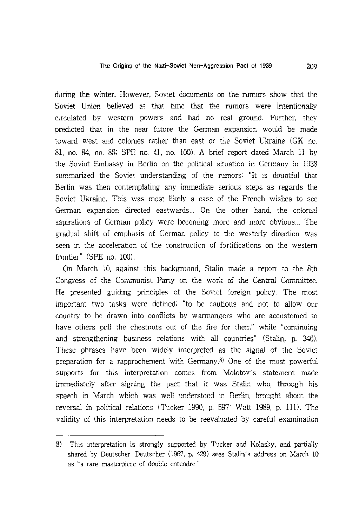during the winter. However, Soviet documents on the rumors show that the Soviet Union believed at that time that the rumors were intentionally circulated by western powers and had no real ground. Further, they predicted that in the near future the German expansion would be made toward west and colonies rather than east or the Soviet Ukraine (GK no. 81, no. 84, no. 86; SPE no. 41, no. 1(0). A brief report dated March 11 by the Soviet Embassy in Berlin on the political situation in Germany in 1938 summarized the Soviet understanding of the rumors: "It is doubtful that Berlin was then contemplating any immediate serious steps as regards the Soviet Ukraine. This was most likely a case of the French wishes to see German expansion directed eastwards... On the other hand, the colonial aspirations of German policy were becoming more and more obvious... The gradual shift of emphasis of German policy to the westerly direction was seen in the acceleration of the construction of fortifications on the western frontier" (SPE no. 100).

On March 10, against this background, Stalin made a report to the 8th Congress of the Communist party on the work of the Central Committee. He presented guiding principles of the Soviet foreign policy. The most important two tasks were defined: "to be cautious and not to allow our country to be drawn into conflicts by warmongers who are accustomed to have others pull the chestnuts out of the fire for them" while "continuing and strengthening business relations with all countries" (Stalin, p. 346). These phrases have been widely interpreted as the signal of the Soviet preparation for a rapprochement with Germany.8) One of the most powerful supports for this interpretation comes from Molotov's statement made immediately after signing the pact that it was Stalin who, through his speech in March which was well understood in Berlin, brought about the reversal in political relations (Tucker 1990, p. 597; Watt 1989, p. 111). The validity of this interpretation needs to be reevaluated by careful examination

<sup>8)</sup> This interpretation is strongly supported by Tucker and Kolasky, and partially shared by Deutscher. Deutscher (1967, p. 429) sees Stalin's address on March 10 as "a rare masterpiece of double entendre."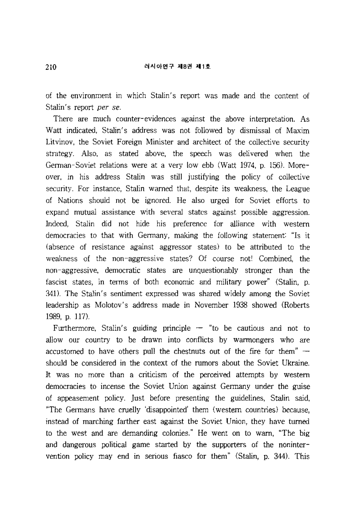#### 러시아연구 제8권 제1호

of the environment in which Stalin's report was made and the content of Stalin's report *per se.* 

There are much counter-evidences against the above interpretation. As Watt indicated, Stalin's address was not followed by dismissal of Maxim Litvinov, the Soviet Foreign Minister and architect of the collective security strategy. Also, as stated above, the speech was delivered when the German-Soviet relations were at a very low ebb (Watt 1974, p. 156). Moreover, in his address Stalin was still justifying the policy of collective security. For instance, Stalin warned that, despite its weakness, the League of Nations should not be ignored. He also urged for Soviet efforts to expand mutual assistance with several states against possible aggression. Indeed, Stalin did not hide his preference for alliance with western democracies to that with Germany, making the following statement: "Is it (absence of resistance against aggressor states) to be attributed to the weakness of the non-aggressive states? Of course not! Combined, the non-aggressive, democratic states are unquestionably stronger than the fascist states, in terms of both economic and military power" (Stalin, p. 341). The Stalin's sentiment expressed was shared widely among the Soviet leadership as Molotov's address made in November 1938 showed (Roberts 1989, p. 117).

Furthermore, Stalin's guiding principle  $-$  "to be cautious and not to allow our country to be drawn into conflicts by warmongers who are accustomed to have others pull the chestnuts out of the fire for them"  $$ should be considered in the context of the rumors about the Soviet Ukraine. It was no more than a criticism of the perceived attempts by western democracies to incense the Soviet Union against Germany under the guise of appeasement policy. Just before presenting the guidelines, Stalin said, "The Germans have cruelly 'disappointed' them (western countries) because, instead of marching farther east against the Soviet Union, they have turned to the west and are demanding colonies." He went on to warn, "The big and dangerous political game started by the supporters of the nonintervention policy may end in serious fiasco for them" (Stalin, p. 344). This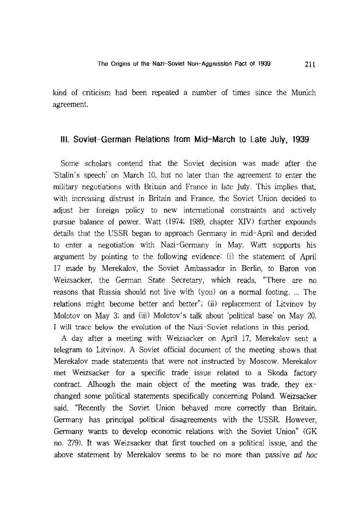kind of criticism had been repeated a number of times since the Munich agreement.

# **III. Soviet-German Relations from Mid-March to Late July, 1939**

Some scholars contend that the Soviet decision was made after the 'Stalin's speech' on March 10, but no later than the agreement to enter the military negotiations with Britain and France in late July. This implies that, with increasing distrust in Britain and France, the Soviet Union decided to adjust her foreign policy to new international constraints and actively pursue balance of power. Watt (1974; 1989, chapter XIV) further expounds details that the USSR began to approach Germany in mid-April and decided to enter a negotiation with Nazi-Germany in May. Watt supports his argument by pointing to the following evidence: (i) the statement of April 17 made by Merekalov, the Soviet Ambassador in Berlin, to Baron von Weizsacker, the German State Secretary, which reads, "There are no reasons that Russia should not live with (you) on a normal footing .... The relations might become better and better"; (ii) replacement of Litvinov by Molotov on May 3; and (iii) Molotov's talk about 'political base' on May 20. I will trace below the evolution of the Nazi-Soviet relations in this period.

A day after a meeting with Weizsacker on April 17, Merekalov sent a telegram to Litvinov. A Soviet official document of the meeting shows that Merekalov made statements that were not instructed by Moscow. Merekalov met Weizsacker for a specific trade issue related to a Skoda factory contract. Alhough the main object of the meeting was trade, they exchanged some political statements specifically concerning Poland. Weizsacker said, "Recently the Soviet Union behaved more correctly than Britain. Germany has principal political disagreements with the USSR. However, Germany wants to develop economic relations with the Soviet Union" (GK no. 279). It was Weizsacker that first touched on a political issue, and the above statement by Merekalov seems to be no more than passive *ad hoc*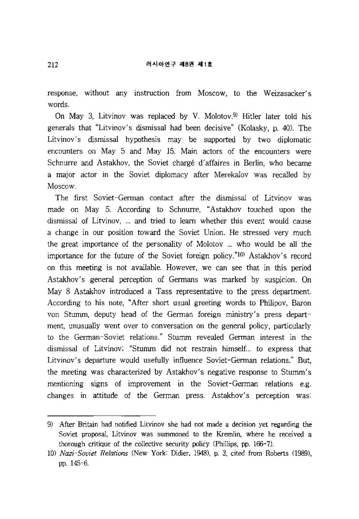response, without any instruction from Moscow, to the Weizasacker's words.

On May 3, Litvinov was replaced by V. Molotov.<sup>9)</sup> Hitler later told his generals that "Litvinov's dismissal had been decisive" (Kolasky, p. 40). The Litvinov's dismissal hypothesis may be supported by two diplomatic encounters on May 5 and May 15. Main actors of the encounters were Schnurre and Astakhov, the Soviet charge d'affaires in Berlin, who became a major actor in the Soviet diplomacy after Merekalov was recalled by Moscow.

The first Soviet-German contact after the dismissal of Litvinov was made on May 5. According to Schnurre, "Astakhov touched upon the dismissal of Litvinov, ... and tried to learn whether this event would cause a change in our position toward the Soviet Union. He stressed very much the great importance of the personality of Molotov... who would be **all** the importance for the future of the Soviet foreign policy."<sup>10)</sup> Astakhov's record on this meeting is not available. However, we can see that in this period Astakhov's general perception of Germans was marked by suspicion. On May 8 Astakhov introduced a Tass representative to the press department. According to his note, "After short usual greeting words to Philipov, Baron von Stumm, deputy head of the German foreign ministry's press department, unusually went over to conversation on the general policy, particularly to the German-Soviet relations." Stumm revealed German interest in the dismissal of Litvinov; "Stumm did not restrain himself... to express that Litvinov's departure would usefully influence Soviet-German relations." But, the meeting was characterized by Astakhov's negative response to Stumm's mentioning signs of improvement in the Soviet-German relations e.g. changes in attitude of the German press. Astakhov's perception was:

<sup>9)</sup> After Britain had notified Litvinov she had not made a decision yet regarding the Soviet proposal, Litvinov was summoned to the Kremlin, where he received a thorough critique of the collective security policy (Phillips, pp. 166-7).

*<sup>10)</sup> Nazi-Soviet Relations* (New York: Didier, 1948), p. 3, cited from Roberts (989), pp. 145-6.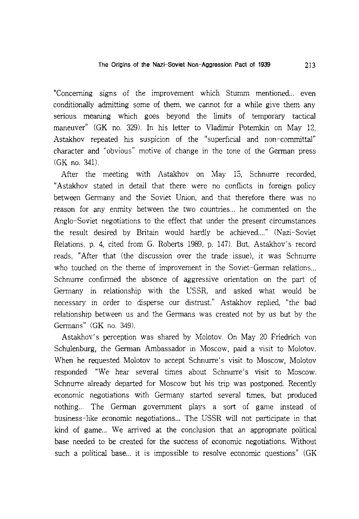"Concerning signs of the improvement which Stumm mentioned... even conditionally admitting some of them, we cannot for a while give them any serious meaning which goes beyond the limits of temporary tactical maneuver" (GK no. 329). **In** his letter to Vladimir Poternkin on May 12, Astakhov repeated his suspicion of the "superficial and non-committal" character and "obvious" motive of change in the tone of the German press (GK no. 341).

After the meeting with Astakhov on May 15, Schnurre recorded, "Astakhov stated in detail that there were no conflicts in foreign policy between Germany and the Soviet Union, and that therefore there was no reason for any enmity between the two countries... he commented on the Anglo-Soviet negotiations to the effect that under the present circumstances the result desired by Britain would hardly be achieved...." (Nazi-Soviet Relations, p. 4, cited from G. Roberts 1989, p. 147). But, Astakhov's record reads, "After that (the discussion over the trade issue), it was Schnurre who touched on the theme of improvement in the Soviet-German relations... Schnurre confirmed the absence of aggressive orientation on the part of Germany in relationship with the USSR, and asked what would be necessary in order to disperse our distrust." Astakhov replied, "the bad relationship between us and the Germans was created not by us but by the Germans" (GK no. 349).

Astakhov's perception was shared by Molotov. On May 20 Friedrich von Schulenburg, the German Ambassador in Moscow, paid a visit to Molotov. When he requested Molotov to accept Schnurre's visit to Moscow, Molotov responded: "We hear several times about Schnurre's visit to Moscow. Schnurre already departed for Moscow but his trip was postponed. Recently economic negotiations with Germany started several times, but produced nothing... The German government plays a sort of game instead of business-like economic negotiations... The USSR will not participate in that kind of game... We arrived at the conclusion that an appropriate political base needed to be created for the success of economic negotiations. Without such a political base... it is impossible to resolve economic questions" (GK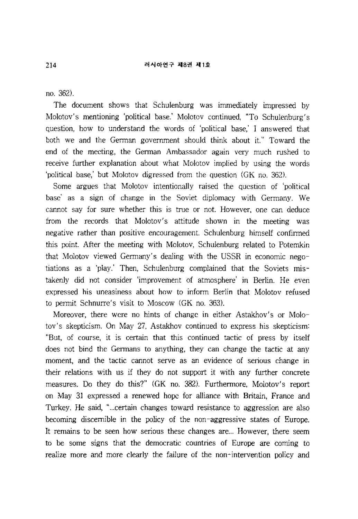no. 362).

The document shows that Schulenburg was immediately impressed by Molotov's mentioning 'political base.' Molotov continued, "To Schulenburg's question, how to understand the words of 'political base,' I answered that both we and the German government should think about it." Toward the end of the meeting, the German Ambassador again very much rushed to receive further explanation about what Molotov implied by using the words 'political base,' but Molotov digressed from the question (GK no. 362).

Some argues that Molotov intentionally raised the question of 'political base' as a sign of change in the Soviet diplomacy with Germany. We cannot say for sure whether this is true or not. However, one can deduce from the records that Molotov's attitude shown in the meeting was negative rather than positive encouragement. Schulenburg himself confirmed this point. After the meeting with Molotov, Schulenburg related to Potemkin that Molotov viewed Germany's dealing with the USSR in economic negotiations as a 'play.' Then, Schulenburg complained that the Soviets mistakenly did not consider 'improvement of atmosphere' in Berlin. He even expressed his uneasiness about how to inform Berlin that Molotov refused to permit Schnurre's visit to Moscow (GK no. 363).

Moreover, there were no hints of change in either Astakhov's or Molotov's skepticism. On May 27, Astakhov continued to express his skepticism: "But, of course, it is certain that this continued tactic of press by itself does not bind the Germans to anything, they can change the tactic at any moment, and the tactic cannot serve as an evidence of serious change in their relations with us if they do not support it with any further concrete measures. Do they do this?" (GK no. 382). Furthermore, Molotov's report on May 31 expressed a renewed hope for alliance with Britain, France and Turkey. He said, "... certain changes toward resistance to aggression are also becoming discernible in the policy of the non-aggressive states of Europe. It remains to be seen how serious these changes are... However, there seem to be some signs that the democratic countries of Europe are coming to realize more and more clearly the failure of the non-intervention policy and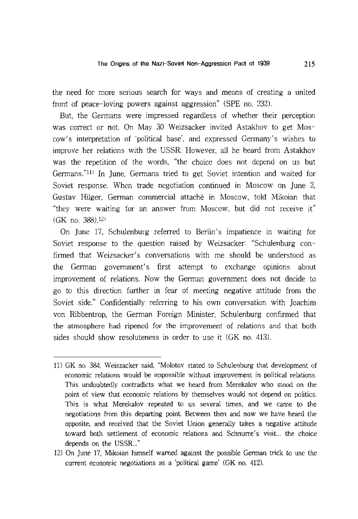the need for more serious search for ways and means of creating a united front of peace-loving powers against aggression" (SPE no. 232).

But, the Germans were impressed regardless of whether their perception was correct or not. On May 30 Weizsacker invited Astakhov to get Moscow's interpretation of 'political base', and expressed Germany's wishes to improve her relations with the USSR. However, all he heard from Astakhov was the repetition of the words, "the choice does not depend on us but Germans."Il) In June, Germans tried to get Soviet intention and waited for Soviet response. When trade negotiation continued in Moscow on June 2, Gustav Hilger, German commercial attache in Moscow, told Mikoian that "they were waiting for an answer from Moscow, but did not receive it" (GK no. 388).12)

On June 17, Schulenburg referred to Berlin's impatience in waiting for Soviet response to the question raised by Weizsacker: "Schulenburg confirmed that Weizsacker's conversations with me should be understood as the German government's first attempt to exchange opinions about improvement of relations. Now the German government does not decide to go to this direction further in fear of meeting negative attitude from the Soviet side." Confidentially referring to his own conversation with Joachim von Ribbentrop, the German Foreign Minister, Schulenburg confirmed that the atmosphere had ripened for the improvement of relations and that both sides should show resoluteness in order to use it (GK no. 413).

<sup>11)</sup> GK no. 384. Weiszacker said, "Molotov stated to Schulenburg that development of economic relations would be impossible without improvement in political relations. This undoubtedly contradicts what we heard from Merekalov who stood on the point of view that economic relations by themselves would not depend on politics. This is what Merekalov repeated to us several times, and we came to the negotiations from this departing point. Between then and now we have heard the opposite, and received that the Soviet Union generally takes a negative attitude toward both settlement of economic relations and Schnurre's visit... the choice depends on the USSR..."

<sup>12)</sup> On June 17, Mikoian himself warned against the possible German trick to use the current economic negotiations as a 'political game' (GK no. 412).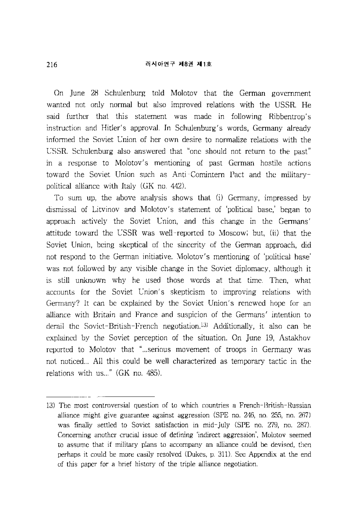#### 러시아연구 제8권 제1호

On June 28 Schulenburg told Molotov that the German government wanted not only normal but also improved relations with the USSR. He said further that this statement was made in following Ribbentrop's instruction and Hitler's approval. In Schulenburg's words, Germany already informed the Soviet Union of her own desire to normalize relations with the USSR. Schulenburg also answered that "one should not return to the past" in a response to Molotov's mentioning of past German hostile actions toward the Soviet Union such as Anti-Comintern Pact and the militarypolitical alliance with Italy (GK no. 442).

To sum up, the above analysis shows that (i) Germany, impressed by dismissal of Litvinov and Molotov's statement of 'political base,' began to approach actively the Soviet Union, and this change in the Germans' attitude toward the USSR was well-reported to Moscow; but, (ii) that the Soviet Union, being skeptical of the sincerity of the German approach, did not respond to the German initiative. Molotov's mentioning of 'political base' was not followed by any visible change in the Soviet diplomacy, although it is still unknown why he used those words at that time. Then, what accounts for the Soviet Union's skepticism to improving relations with Germany? It can be explained by the Soviet Union's renewed hope for an alliance with Britain and France and suspicion of the Germans' intention to derail the Soviet-British-French negotiation.13) Additionally, it also can be explained by the Soviet perception of the situation. On June 19, Astakhov reported to Molotov that "... serious movement of troops in Germany was not noticed... All this could be well characterized as temporary tactic in the relations with us..."  $(GK$  no.  $485)$ .

<sup>13)</sup> The most controversial question of to which countries a French-British-Russian alliance might give guarantee against aggression (SPE no. 246, no. 255, no. 267) was finally settled to Soviet satisfaction in mid-July (SPE no. 279, no. 287). Concerning another crucial issue of defining 'indirect aggression', Molotov seemed to assume that if military plans to accompany an alliance could be devised, then perhaps it could be more easily resolved (Dukes, p. 311). See Appendix at the end of this paper for a brief history of the triple alliance negotiation.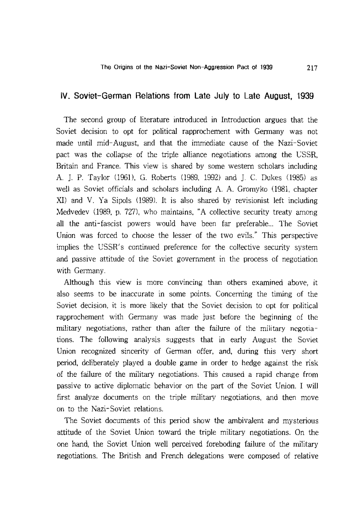# **IV. Soviet-German Relations from Late July to Late August, 1939**

The second group of literature introduced in Introduction argues that the Soviet decision to opt for political rapprochement with Germany was not made until mid-August, and that the immediate cause of the Nazi-Soviet pact was the collapse of the triple alliance negotiations among the USSR, Britain and France. This view is shared by some western scholars including A. ]. P. Taylor (1961), G. Roberts (1989, 1992) and ]. C. Dukes (1985) as well as Soviet officials and scholars including A. A. Gromyko (1981, chapter XI) and V. Ya Sipols (1989). It is also shared by revisionist left including Medvedev (1989, p. 727), who maintains, "A collective security treaty among all the anti-fascist powers would have been far preferable... The Soviet Union was forced to choose the lesser of the two evils." This perspective implies the USSR's continued preference for the collective security system and passive attitude of the Soviet government in the process of negotiation with Germany.

Although this view is more convincing than others examined above, it also seems to be inaccurate in some points. Concerning the timing of the Soviet decision, it is more likely that the Soviet decision to opt for political rapprochement with Germany was made just before the beginning of the military negotiations, rather than after the failure of the military negotiations. The following analysis suggests that in early August the Soviet Union recognized sincerity of German offer, and, during this very short period, deliberately played a double game in order to hedge against the risk of the failure of the military negotiations. This caused a rapid change from passive to active diplomatic behavior on the part of the Soviet Union. I will first analyze documents on the triple military negotiations, and then move on to the Nazi-Soviet relations.

The Soviet documents of this period show the ambivalent and mysterious attitude of the Soviet Union toward the triple military negotiations. On the one hand, the Soviet Union well perceived foreboding failure of the military negotiations. The British and French delegations were composed of relative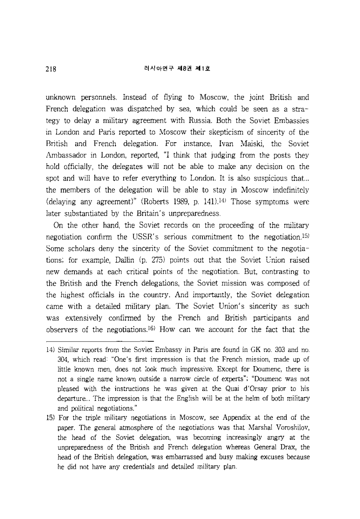unknown personnels. Instead of flying to Moscow, the joint British and French delegation was dispatched by sea, which could be seen as a strategy to delay a military agreement with Russia. Both the Soviet Embassies in London and Paris reported to Moscow their skepticism of sincerity of the British and French delegation. For instance, Ivan Maiski, the Soviet Ambassador in London, reported, "I think that judging from the posts they hold officially, the delegates will not be able to make any decision on the spot and will have to refer everything to London. It is also suspicious that... the members of the delegation will be able to stay in Moscow indefinitely (delaying any agreement)" (Roberts 1989, p. 141).14) Those symptoms were later substantiated by the Britain's unpreparedness.

On the other hand, the Soviet records on the proceeding of the military negotiation confirm the USSR's serious commitment to the negotiation.1S) Some scholars deny the sincerity of the Soviet commitment to the negotiations; for example, Dallin (p. 275) points out that the Soviet Union raised new demands at each critical points of the negotiation. But, contrasting to the British and the French delegations, the Soviet mission was composed of the highest officials in the country. And importantly, the Soviet delegation came with a detailed military plan. The Soviet Union's sincerity as such was extensively confirmed by the French and British participants and observers of the negotiations.16) How can we account for the fact that the

<sup>14)</sup> Similar reports from the Soviet Embassy in Paris are found in GK no. 303 and no. 304, which read: "One's first impression is that the French mission, made up of little known men, does not look much impressive. Except for Doumenc, there is not a single name known outside a narrow circle of experts"; "Doumenc was not pleased with the instructions he was given at the Quai d'Orsay prior to his departure ... The impression is that the English will be at the helm of both military and political negotiations."

<sup>15)</sup> For the triple military negotiations in Moscow, see Appendix at the end of the paper. The general atmosphere of the negotiations was that Marshal Voroshilov, the head of the Soviet delegation, was becoming increasingly angry at the unpreparedness of the British and French delegation whereas General Drax, the head of the British delegation, was embarrassed and busy making excuses because he did not have any credentials and detailed military plan.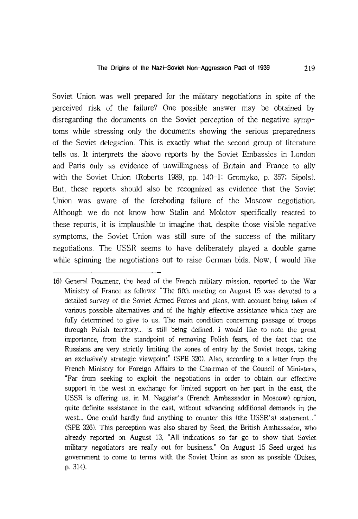Soviet Union was well prepared for the military negotiations in spite of the perceived risk of the failure? One possible answer may be obtained by disregarding the documents on the Soviet perception of the negative symptoms while stressing only the documents showing the serious preparedness of the Soviet delegation. This is exactly what the second group of literature tells us. It interprets the above reports by the Soviet Embassies in London and Paris only as evidence of unwillingness of Britain and France to ally with the Soviet Union (Roberts 1989, pp. 140-1; Gromyko, p. 357; Sipols). But, these reports should also be recognized as evidence that the Soviet Union was aware of the foreboding failure of the Moscow negotiation. Although we do not know how Stalin and Molotov specifically reacted to these reports, it is implausible to imagine that, despite those visible negative symptoms, the Soviet Union was still sure of the success of the military negotiations. The USSR seems to have deliberately played a double game while spinning the negotiations out to raise German bids. Now, I would like

<sup>16)</sup> General Doumenc, the head of the French military mission, reported to the War Ministry of France as follows: "The fifth meeting on August 15 was devoted to a detailed survey of the Soviet Armed Forces and plans, with account being taken of various possible alternatives and of the highly effective assistance which they are fully determined to give to us. The main condition concerning passage of troops through Polish territory... is still being defined. I would like to note the great importance, from the standpoint of removing Polish fears, of the fact that the Russians are very strictly limiting the zones of entry by the Soviet troops, taking an exclusively strategic viewpoint" (SPE 320). Also, according to a letter from the French Ministry for Foreign Affairs to the Chairman of the Council of Ministers, "Far from seeking to exploit the negotiations in order to obtain our effective support in the west in exchange for limited support on her part in the east, the USSR is offering us, in M. Naggiar's (French Ambassador in Moscow) opinion, quite definite assistance in the east, without advancing additional demands in the west... One could hardly find anything to counter this (the USSR's) statement..." (SPE 326). This perception was also shared by Seed, the British Ambassador, who already reported on August 13, "All indications so far go to show that Soviet military negotiators are really out for business." On August 15 Seed urged his government to come to terms with the Soviet Union as soon as possible (Dukes, p. 314).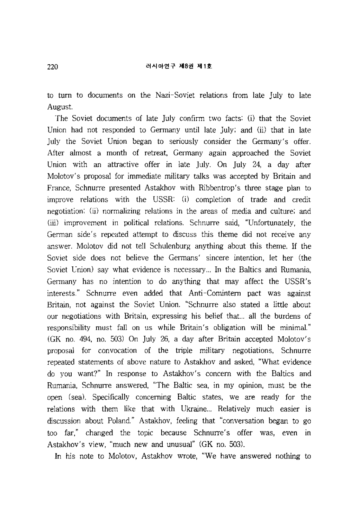to turn to documents on the Nazi-Soviet relations from late July to late August.

The Soviet documents of late July confirm two facts: (i) that the Soviet Union had not responded to Germany until late July; and (ii) that in late July the Soviet Union began to seriously consider the Germany's offer. After almost a month of retreat, Germany again approached the Soviet Union with an attractive offer in late July. On July 24, a day after Molotov's proposal for immediate military talks was accepted by Britain and France, Schnurre presented Astakhov with Ribbentrop's three stage plan to improve relations with the USSR: (i) completion of trade and credit negotiation; (ii) normalizing relations in the areas of media and culture; and (iii) improvement in political relations. Schnurre said, "Unfortunately, the German side's repeated attempt to discuss this theme did not receive any answer. Molotov did not tell Schulenburg anything about this theme. If the Soviet side does not believe the Germans' sincere intention, let her (the Soviet Union) say what evidence is necessary ... In the Baltics and Rumania, Germany has no intention to do anything that may affect the USSR's interests." Schnurre even added that Anti-Comintern pact was against Britain, not against the Soviet Union. "Schnurre also stated a little about our negotiations with Britain, expressing his belief that... all the burdens of responsibility must fall on us while Britain's obligation will be minimal." (GK no. 494, no. 503) On July 26, a day after Britain accepted Molotov's proposal for convocation of the triple military negotiations, Schnurre repeated statements of above nature to Astakhov and asked, "What evidence do you want?" In response to Astakhov's concern with the Baltics and Rumania, Schnurre answered, "The Baltic sea, in my opinion, must be the open (sea). Specifically concerning Baltic states, we are ready for the relations with them like that with Ukraine... Relatively much easier is discussion about Poland." Astakhov, feeling that "conversation began to go too far," changed the topic because Schnurre's offer was, even in Astakhov's view, "much new and unusual" (GK no. 503).

In his note to Molotov, Astakhov wrote, "We have answered nothing to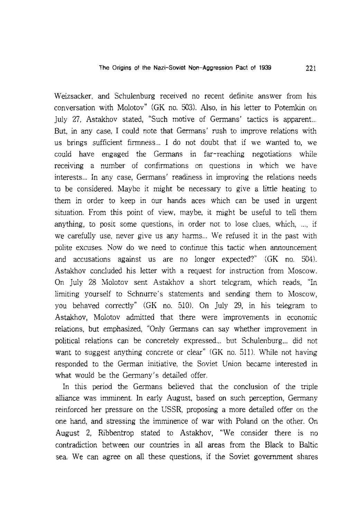Weizsacker, and Schulenburg received no recent definite answer from his conversation with Molotov" (GK no. 503). Also, in his letter to Potemkin on July 27, Astakhov stated, "Such motive of Germans' tactics is apparent... But, in any case, I could note that Germans' rush to improve relations with us brings sufficient firmness... I do not doubt that if we wanted to, we could have engaged the Germans in far-reaching negotiations while receiving a number of confirmations on questions in which we have interests ... In any case, Germans' readiness in improving the relations needs to be considered. Maybe it might be necessary to give a little heating to them in order to keep in our hands aces which can be used in urgent situation. From this point of view, maybe, it might be useful to tell them anything, to posit some questions, in order not to lose clues, which, ... , if we carefully use, never give us any harms... We refused it in the past with polite excuses. Now do we need to continue this tactic when announcement and accusations against us are no longer expected?" (GK no. 504). Astakhov concluded his letter with a request for instruction from Moscow. On July 28 Molotov sent Astakhov a short telegram, which reads, "In limiting yourself to Schnurre's statements and sending them to Moscow, you behaved correctly" (GK no. 510). On July 29, in his telegram to Astakhov, Molotov admitted that there were improvements in economic relations, but emphasized, "Only Germans can say whether improvement in political relations can be concretely expressed... but Schulenburg... did not want to suggest anything concrete or clear" (GK no. 511). While not having responded to the German initiative, the Soviet Union became interested in what would be the Germany's detailed offer.

In this period the Germans believed that the conclusion of the triple alliance was imminent. In early August, based on such perception, Germany reinforced her pressure on the USSR, proposing a more detailed offer on the one hand, and stressing the imminence of war with Poland on the other. On August 2, Ribbentrop stated to Astakhov, "We consider there is no contradiction between our countries in all areas from the Black to Baltic sea. We can agree on all these questions, if the Soviet government shares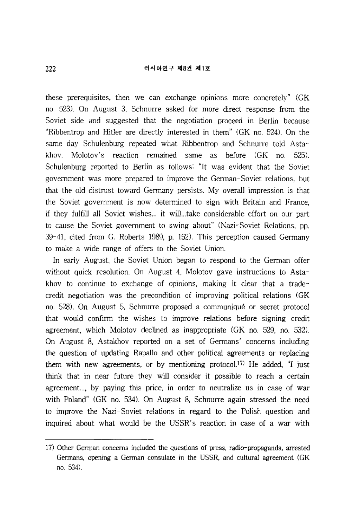these prerequisites, then we can exchange opinions more concretely" (GK no. 523). On August 3, Schnurre asked for more direct response from the Soviet side and suggested that the negotiation proceed in Berlin because "Ribbentrop and Hitler are directly interested in them" (GK no. 524). On the same day Schulenburg repeated what Ribbentrop and Schnurre told Astakhov. Molotov's reaction remained same as before (GK no. 525). Schulenburg reported to Berlin as follows: "It was evident that the Soviet government was more prepared to improve the German-Soviet relations, but that the old distrust toward Germany persists. My overall impression is that the Soviet government is now determined to sign with Britain and France, if they fulfill all Soviet wishes... it wil1...take considerable effort on our part to cause the Soviet government to swing about" (Nazi-Soviet Relations, pp. 39-41, cited from G. Roberts 1989, p. 152). This perception caused Germany to make a wide range of offers to the Soviet Union.

In early August, the Soviet Union began to respond to the German offer without quick resolution. On August 4, Molotov gave instructions to Astakhov to continue to exchange of opinions, making it clear that a tradecredit negotiation was the precondition of improving political relations (GK no. 528). On August 5, Schnurre proposed a communique or secret protocol that would confirm the wishes to improve relations before signing credit agreement, which Molotov declined as inappropriate (GK no. 529, no. 532). On August 8, Astakhov reported on a set of Germans' concerns including the question of updating Rapallo and other political agreements or replacing them with new agreements, or by mentioning protocol.<sup>17)</sup> He added, "I just think that in near future they will consider it possible to reach a certain agreement..., by paying this price, in order to neutralize us in case of war with Poland" (GK no. 534). On August 8, Schnurre again stressed the need to improve the Nazi-Soviet relations in regard to the Polish question and inquired about what would be the USSR's reaction in case of a war with

<sup>17)</sup> Other Gennan concerns included the questions of press, radio-propaganda, arrested Gennans, opening a Gennan consulate in the USSR, and cultural agreement (GK no. 534).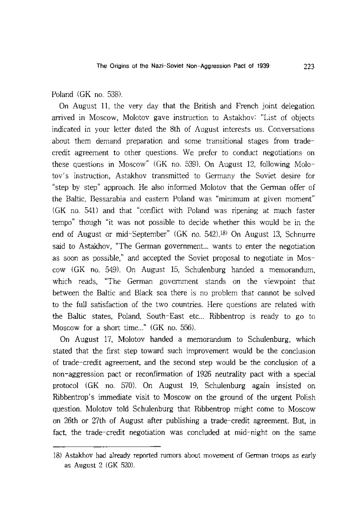Poland (GK no. 538).

On August 11, the very day that the British and French joint delegation arrived in Moscow, Molotov gave instruction to Astakhov: "List of objects indicated in your letter dated the 8th of August interests us. Conversations about them demand preparation and some transitional stages from tradecredit agreement to other questions. We prefer to conduct negotiations on these questions in Moscow" (GK no. 539). On August 12, following Molotov's instruction, Astakhov transmitted to Germany the Soviet desire for "step by step" approach. He also informed Molotov that the German offer of the Baltic, Bessarabia and eastern Poland was "minimum at given moment" (GK no. 541) and that "conflict with Poland was ripening at much faster tempo" though "it was not possible to decide whether this would be in the end of August or mid-September" (GK no. 542).18) On August 13, Schnurre said to Astakhov, "The German government... wants to enter the negotiation as soon as possible," and accepted the Soviet proposal to negotiate in Moscow (GK no. 549). On August 15, Schulenburg handed a memorandum, which reads, "The German government stands on the viewpoint that between the Baltic and Black sea there is no problem that cannot be solved to the full satisfaction of the two countries. Here questions are related with the Baltic states, Poland, South-East etc... Ribbentrop is ready to go to Moscow for a short time..." (GK no. 556).

On August 17, Molotov handed a memorandum to Schulenburg, which stated that the first step toward such improvement would be the conclusion of trade-credit agreement, and the second step would be the conclusion of a non-aggression pact or reconfirmation of 1926 neutrality pact with a special protocol (GK no. 570). On August 19, Schulenburg again insisted on Ribbentrop's immediate visit to Moscow on the ground of the urgent Polish question. Molotov told Schulenburg that Ribbentrop might come to Moscow on 26th or 27th of August after publishing a trade-credit agreement. But, in fact, the trade-credit negotiation was concluded at mid-night on the same

<sup>18)</sup> Astakhov had already reported rumors about movement of German troops as early as August 2 (GK 520).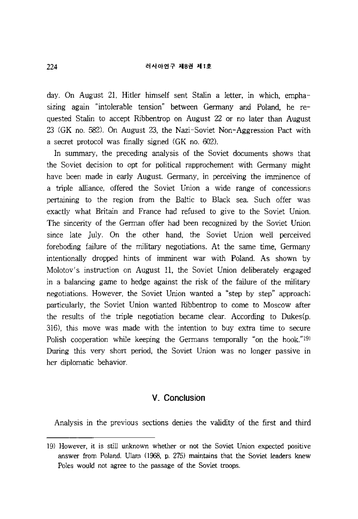#### 러시아연구 제8권 제1호

day. On August 21, Hitler himself sent Stalin a letter, in which, emphasizing again "intolerable tension" between Germany and Poland, he requested Stalin to accept Ribbentrop on August 22 or no later than August 23 (GK no. 582). On August 23, the Nazi-Soviet Non-Aggression Pact with a secret protocol was finally signed (GK no. 602).

In summary, the preceding analysis of the Soviet documents shows that the Soviet decision to opt for political rapprochement with Germany might have been made in early August. Germany, in perceiving the imminence of a triple alliance, offered the Soviet Union a wide range of concessions pertaining to the region from the Baltic to Black sea. Such offer was exactly what Britain and France had refused to give to the Soviet Union. The sincerity of the German offer had been recognized by the Soviet Union since late July. On the other hand, the Soviet Union well perceived foreboding failure of the military negotiations. At the same time, Germany intentionally dropped hints of imminent war with Poland. As shown by Molotov's instruction on August 11, the Soviet Union deliberately engaged in a balancing game to hedge against the risk of the failure of the military negotiations. However, the Soviet Union wanted a "step by step" approach; particularly, the Soviet Union wanted Ribbentrop to come to Moscow after the results of the triple negotiation became clear. According to Dukes(p. 316), this move was made with the intention to buy extra time to secure Polish cooperation while keeping the Germans temporally "on the hook."19) During this very short period, the Soviet Union was no longer passive in her diplomatic behavior.

# V. **Conclusion**

Analysis in the previous sections denies the validity of the first and third

<sup>19)</sup> However, it is still unknown whether or not the Soviet Union expected positive answer from Poland. Ularn (1968, p. 275) maintains that the Soviet leaders knew Poles would not agree to the passage of the Soviet troops.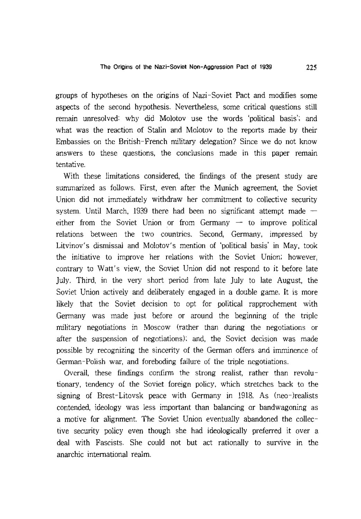groups of hypotheses on the origins of Nazi-Soviet Pact and modifies some aspects of the second hypothesis. Nevertheless, some critical questions still remain unresolved: why did Molotov use the words 'political basis'; and what was the reaction of Stalin and Molotov to the reports made by their Embassies on the British-French military delegation? Since we do not know answers to these questions, the conclusions made in this paper remain tentative.

With these limitations considered, the findings of the present study are summarized as follows. First, even after the Munich agreement, the Soviet Union did not immediately withdraw her commitment to collective security system. Until March, 1939 there had been no significant attempt made  $$ either from the Soviet Union or from Germany  $-$  to improve political relations between the two countries. Second, Germany, impressed by Litvinov's dismissal and Molotov's mention of 'political basis' in May, took the initiative to improve her relations with the Soviet Union; however, contrary to Watt's view, the Soviet Union did not respond to it before late July. Third, in the very short period from late July to late August, the Soviet Union actively and deliberately engaged in a double game. It is more likely that the Soviet decision to opt for political rapprochement with Germany was made just before or around the beginning of the triple military negotiations in Moscow (rather than during the negotiations or after the suspension of negotiations); and, the Soviet decision was made possible by recognizing the sincerity of the German offers and imminence of German-Polish war, and foreboding failure of the triple negotiations.

Overall, these findings confirm the strong realist, rather than revolutionary, tendency of the Soviet foreign policy, which stretches back to the signing of Brest-Litovsk peace with Germany in 1918. As (neo-)realists contended, ideology was less important than balancing or bandwagoning as a motive for alignment. The Soviet Union eventually abandoned the collective security policy even though she had ideologically preferred it over a deal with Fascists. She could not but act rationally to survive in the anarchic international realm.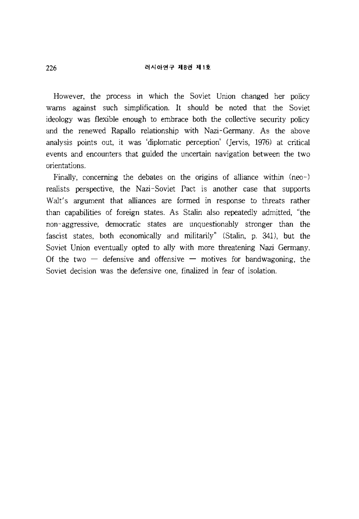#### 러시아연구 제8권 제1호

However, the process in which the Soviet Union changed her policy warns against such simplification. **It** should be noted that the Soviet ideology was flexible enough to embrace both the collective security policy and the renewed Rapallo relationship with Nazi-Germany. As the above analysis points out, it was 'diplomatic perception' (Jervis, 1976) at critical events and encounters that guided the uncertain navigation between the two orientations.

Finally, concerning the debates on the origins of alliance within (neo-) realists perspective, the Nazi-Soviet Pact is another case that supports Walt's argument that alliances are formed in response to threats rather than capabilities of foreign states. As Stalin also repeatedly admitted, "the non-aggressive, democratic states are unquestionably stronger than the fascist states, both economically and militarily" (Stalin, p. 341), but the Soviet Union eventually opted to ally with more threatening Nazi Germany. Of the two  $-$  defensive and offensive  $-$  motives for bandwagoning, the Soviet decision was the defensive one, finalized in fear of isolation.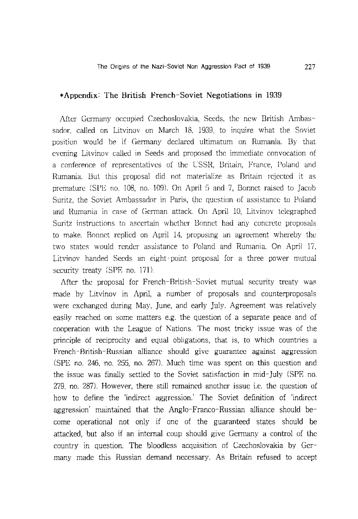### \*Appendix: The British-French-Soviet Negotiations in 1939

After Germany occupied Czechoslovakia, Seeds, the new British Ambassador, called on Litvinov on March 18, 1939, to inquire what the Soviet position would be if Germany declared ultimatum on Rumania. By that evening Litvinov called in Seeds and proposed the immediate convocation of a conference of representatives of the USSR, Britain, France, Poland and Rumania. But this proposal did not materialize as Britain rejected it as premature (SPE no. 108, no. 109). On April 5 and 7, Bonnet raised to Jacob Suritz, the Soviet Ambassador in Paris, the question of assistance to Poland and Rumania in case of German attack. On April 10, Litvinov telegraphed Suritz instructions to ascertain whether Bonnet had any concrete proposals to make. Bonnet replied on April 14, proposing an agreement whereby the two states would render assistance to Poland and Rumania. On April 17, Litvinov handed Seeds an eight-point proposal for a three power mutual security treaty (SPE no. 171).

After the proposal for French-British-Soviet mutual security treaty was made by Litvinov in April, a number of proposals and counterproposals were exchanged during May, June, and early July. Agreement was relatively easily reached on some matters e.g. the question of a separate peace and of cooperation with the League of Nations. The most tricky issue was of the principle of reciprocity and equal obligations, that is, to which countries a French-British-Russian alliance should give guarantee against aggression (SPE no. 246, no. 255, no. 267). Much time was spent on this question and the issue was finally settled to the Soviet satisfaction in mid-July (SPE no. 279, no. 287). However, there still remained another issue i.e. the question of how to define the 'indirect aggression.' The Soviet definition of 'indirect aggression' maintained that the Anglo-Franco-Russian alliance should become operational not only if one of the guaranteed states should be attacked, but also if an internal coup should give Germany a control of the country in question. The bloodless acquisition of Czechoslovakia by Germany made this Russian demand necessary. As Britain refused to accept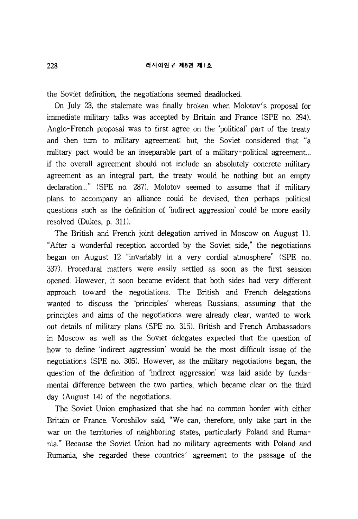#### 러시아연구 제8권 제1호

the Soviet definition, the negotiations seemed deadlocked.

On July 23, the stalemate was finally broken when Molotov's proposal for immediate military talks was accepted by Britain and France (SPE no. 294). Anglo-French proposal was to first agree on the 'political' part of the treaty and then tum to military agreement; but, the Soviet considered that "a military pact would be an inseparable part of a military-political agreement... if the overall agreement should not include an absolutely concrete military agreement as an integral part, the treaty would be nothing but an empty declaration..." (SPE no. 287). Molotov seemed to assume that if military plans to accompany an alliance could be devised, then perhaps political questions such as the definition of 'indirect aggression' could be more easily resolved (Dukes, p. 311).

The British and French joint delegation arrived in Moscow on August **11.**  "After a wonderful reception accorded by the Soviet side," the negotiations began on August 12 "invariably in a very cordial atmosphere" (SPE no. 337). Procedural matters were easily settled as soon as the first session opened. However, it soon became evident that both sides had very different approach toward the negotiations. The British and French delegations wanted to discuss the 'principles' whereas Russians, assuming that the principles and aims of the negotiations were already clear, wanted to work out details of military plans (SPE no. 315). British and French Ambassadors in Moscow as well as the Soviet delegates expected that the question of how to define 'indirect aggression' would be the most difficult issue of the negotiations (SPE no. 305). However, as the military negotiations began, the question of the definition of 'indirect aggression' was laid aside by fundamental difference between the two parties, which became clear on the third day (August 14) of the negotiations.

The Soviet Union emphasized that she had no common border with either Britain or France. Voroshilov said, "We can, therefore, only take part in the war on the territories of neighboring states, particularly Poland and Rumania." Because the Soviet Union had no military agreements with Poland and Rumania, she regarded these countries' agreement to the passage of the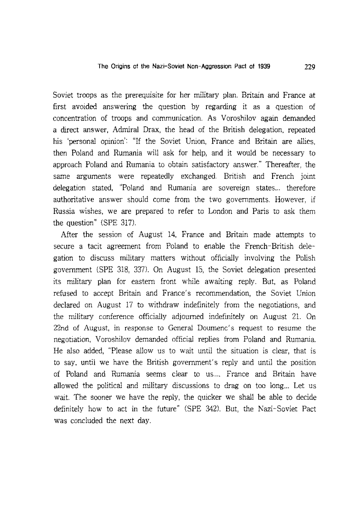Soviet troops as the prerequisite for her military plan. Britain and France at first avoided answering the question by regarding it as a question of concentration of troops and communication. As Voroshilov again demanded a direct answer, Admiral Drax, the head of the British delegation, repeated his 'personal opinion': "If the Soviet Union, France and Britain are allies, then Poland and Rumania will ask for help, and it would be necessary to approach Poland and Rumania to obtain satisfactory answer." Thereafter, the same arguments were repeatedly exchanged. British and French joint delegation stated, "Poland and Rumania are sovereign states... therefore authoritative answer should come from the two governments. However, if Russia wishes, we are prepared to refer to London and Paris to ask them the question" (SPE 317).

After the session of August 14, France and Britain made attempts to secure a tacit agreement from Poland to enable the French-British delegation to discuss military matters without officially involving the Polish government (SPE 318, 337). On August 15, the Soviet delegation presented its military plan for eastern front while awaiting reply. But, as Poland refused to accept Britain and France's recommendation, the Soviet Union declared on August 17 to withdraw indefinitely from the negotiations, and the military conference officially adjourned indefinitely on August 21. On 22nd of August, in response to General Doumenc's request to resume the negotiation, Voroshilov demanded official replies from Poland and Rumania. He also added, "Please allow us to wait until the situation is clear, that is to say, until we have the British government's reply and until the position of Poland and Rumania seems clear to us.... France and Britain have allowed the political and military discussions to drag on too long... Let us wait. The sooner we have the reply, the quicker we shall be able to decide definitely how to act in the future" (SPE 342). But, the Nazi-Soviet Pact was concluded the next day.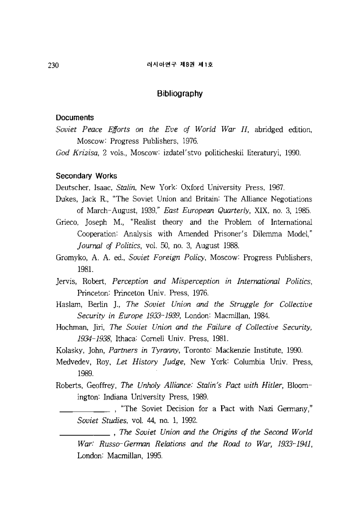# **Bibliography**

#### **Documents**

- *Soviet Peace Efforts on the Eve of World War II,* abridged edition, Moscow: Progress Publishers, 1976.
- *God Krizisa,* 2 vols., Moscow: izdatel'stvo politicheskii literaturyi, 1990.

## **Secondary Works**

Deutscher, Isaac, *Stalin,* New York: Oxford University Press, 1967.

- Dukes, Jack R., "The Soviet Union and Britain: The Alliance Negotiations of March-August, 1939," *East European Quarterly,* XIX, no. 3, 1985.
- Grieco, Joseph M., "Realist theory and the Problem of International Cooperation: Analysis with Amended Prisoner's Dilemma Model," *Journal of Politics,* vol. 50, no. 3, August 1988.
- Gromyko, A. A. ed., *Soviet Foreign Policy,* Moscow: Progress Publishers, 1981.
- Jervis, Robert, *Perception and Misperception in International Politics,*  Princeton: Princeton Univ. Press, 1976.
- Haslam, Berlin ]., *The Soviet Union and the Struggle for Collective Security in Europe* 1933-1939, London: Macmillan, 1984.
- Hochman, Jiri, *The Soviet Union and the Failure of Collective Security,*  1934-1938, Ithaca: Cornell Univ. Press, 1981.
- Kolasky, John, *Partners in Tyranny,* Toronto: Mackenzie Institute, 1990.
- Medvedev, Roy, *Let History Judge,* New York: Columbia Univ. Press, 1989.
- Roberts, Geoffrey, *The Unholy Alliance: Stalin's Pact with Hitler,* Bloomington: Indiana University Press, 1989.
	- \_\_\_\_\_ , "The Soviet Decision for a Pact with Nazi Germany," *Soviet Studies,* vol. 44, no. 1, 1992.
	- \_\_\_\_\_ , *The Soviet Union and the Origins of the Second World War: Russo-German Relations and the Road to War, 1933-1941,*  London: Macmillan, 1995.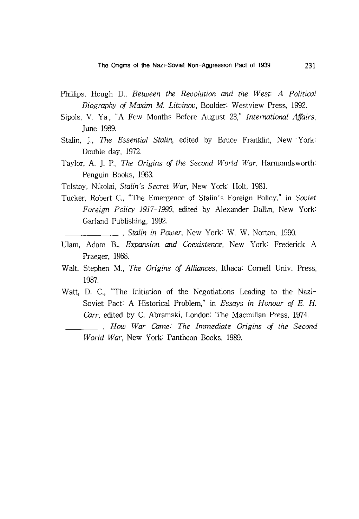- Phillips, Hough D., *Between the Revolution and the West: A Political Biography of Maxim* M. *Litvinov,* Boulder: Westview Press, 1992.
- Sipols, V. Ya., "A Few Months Before August 23," *International Affairs,*  June 1989.
- Stalin, ]., *The Essential Stalin,* edited by Bruce Franklin, New· York: Double day, 1972.
- Taylor, A. ]. P., *The Origins of the Second World War,* Harmondsworth: Penguin Books, 1963.
- Tolstoy, Nikolai, *Stalin's Secret War,* New York Holt, 1981.
- Tucker, Robert C., "The Emergence of Stalin's Foreign Policy," in *Soviet Foreign Policy 1917-1990,* edited by Alexander Dallin, New York Garland Publishing, 1992.

*, Stalin in Power,* New York W. W. Norton, 1990.

- Ulam, Adam B., *Expansion and Coexistence,* New York Frederick A Praeger, 1968.
- Walt, Stephen M., *The Origins of Alliances,* Ithaca: Cornell Univ. Press, 1987.
- Watt, D. c., "The Initiation of the Negotiations Leading to the Nazi-Soviet Pact: A Historical Problem," in *Essays in Honour of* E. H. *Carr,* edited by C. Abramski, London: The Macmillan Press, 1974.
- *, How War Came: The Immediate Origins of the Second World War,* New York Pantheon Books, 1989.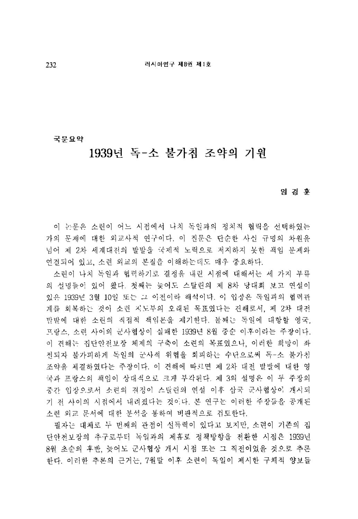국무요약

# 1939년 독-소 불가침 조약의 기워

임 경 후

이 논문은 소련이 어느 시점에서 나치 독일과의 정치적 협력을 선택하였는 가의 문제에 대한 외교사적 연구이다. 이 질문은 단순한 사실 규명의 차워올 넘어 제 2차 세계대전의 발발을 국제적 노력으로 저지하지 못한 책임 문제와 연결되어 있고, 소련 외교의 본질을 이해하는데도 매우 중요하다.

소린이 나치 독일과 협력하기로 결정을 내린 시점에 대해서는 세 가지 부류 의 설명들이 있어 왔다. 첫째는 늦어도 스탈린의 제 8차 당대회 보고 연설이 <u>있은 1939년 3월 10일 또는 그 이전이라 해석이다. 이 입장은 독일과의 협력관</u> 계름 회복하는 것이 소련 저도부의 오래된 목표였다는 견해로서, 제 2차 대전 발발에 대한 소린의 직접적 책임론을 제기한다. 둘째는 독일에 대항할 영국. 프랑스, 소련 사이의 군사협상이 실패한 1939년 8월 중순 이후이라는 주장이다. 이 견햬는 집단안전보장 체제의 구축이 소련의 목표였으나, 이러한 희망이 좌 전되자 불가피하게 독일의 군사적 위협을 회피하는 수단으로써 독-소 불가침 조약을 체결하였다는 주장이다. 이 견해에 따르면 제 2차 대전 발발에 대한 영 국과 프랑스의 책임이 상대적으로 크게 부각된다. 제 3의 설명은 이 두 주장의 중간 입장으로서 소련의 결정이 스탈린의 연설 이후 삼국 군사협상에 개시되 기 전 샤이의 시점에서 내려졌다는 것이다. 본 연구는 이러한 주장들을 공개된 소련 외교 문서에 대한 분석을 통하여 비판적으로 검토한다.

필자는 대체로 두 번째의 관점이 설득력이 있다고 보지만, 소련이 기존의 집 다안전보장의 추구로부터 독일과의 제휴로 정책방향을 전환한 시점은 1939년 8월 초순의 후반, 늦어도 군사협상 개시 시점 또는 그 직전이었을 것으로 추론 한다. 이러한 추론의 근거는 7월말 어후 소련이 독일이 제시한 구체적 양보들